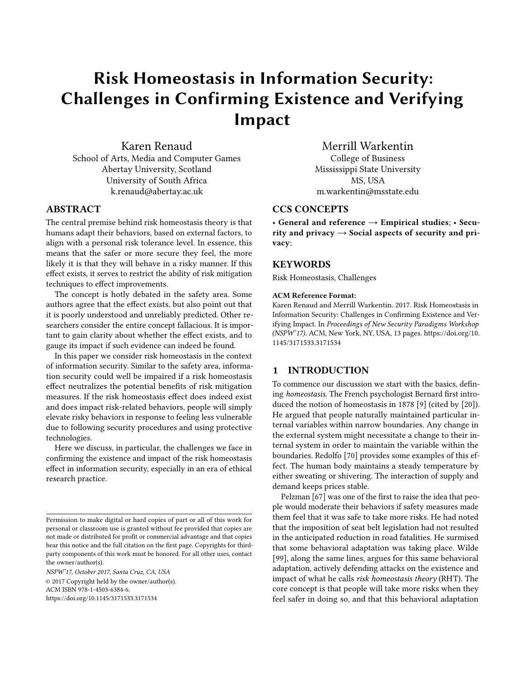# Risk Homeostasis in Information Security: Challenges in Confirming Existence and Verifying Impact

Karen Renaud School of Arts, Media and Computer Games Abertay University, Scotland University of South Africa k.renaud@abertay.ac.uk

# **ABSTRACT**

The central premise behind risk homeostasis theory is that humans adapt their behaviors, based on external factors, to align with a personal risk tolerance level. In essence, this means that the safer or more secure they feel, the more likely it is that they will behave in a risky manner. If this effect exists, it serves to restrict the ability of risk mitigation techniques to effect improvements.

The concept is hotly debated in the safety area. Some authors agree that the effect exists, but also point out that it is poorly understood and unreliably predicted. Other researchers consider the entire concept fallacious. It is important to gain clarity about whether the effect exists, and to gauge its impact if such evidence can indeed be found.

In this paper we consider risk homeostasis in the context of information security. Similar to the safety area, information security could well be impaired if a risk homeostasis effect neutralizes the potential benefits of risk mitigation measures. If the risk homeostasis effect does indeed exist and does impact risk-related behaviors, people will simply elevate risky behaviors in response to feeling less vulnerable due to following security procedures and using protective technologies.

Here we discuss, in particular, the challenges we face in confirming the existence and impact of the risk homeostasis effect in information security, especially in an era of ethical research practice.

*NSPW'17, October 2017, Santa Cruz, CA, USA* © 2017 Copyright held by the owner/author(s). ACM ISBN 978-1-4503-6384-6. <https://doi.org/10.1145/3171533.3171534>

Merrill Warkentin College of Business Mississippi State University MS, USA m.warkentin@msstate.edu

# CCS CONCEPTS

• General and reference  $\rightarrow$  Empirical studies; • Security and privacy  $\rightarrow$  Social aspects of security and privacy;

# **KEYWORDS**

Risk Homeostasis, Challenges

#### ACM Reference Format:

Karen Renaud and Merrill Warkentin. 2017. Risk Homeostasis in Information Security: Challenges in Confirming Existence and Verifying Impact. In *Proceedings of New Security Paradigms Workshop (NSPW'17).* ACM, New York, NY, USA, [13](#page-12-0) pages. [https://doi.org/10.](https://doi.org/10.1145/3171533.3171534) [1145/3171533.3171534](https://doi.org/10.1145/3171533.3171534)

# 1 INTRODUCTION

To commence our discussion we start with the basics, defining *homeostasis*. The French psychologist Bernard first introduced the notion of homeostasis in 1878 [\[9\]](#page-10-0) (cited by [\[20\]](#page-10-1)). He argued that people naturally maintained particular internal variables within narrow boundaries. Any change in the external system might necessitate a change to their internal system in order to maintain the variable within the boundaries. Redolfo [\[70\]](#page-11-0) provides some examples of this effect. The human body maintains a steady temperature by either sweating or shivering. The interaction of supply and demand keeps prices stable.

Pelzman [\[67\]](#page-11-1) was one of the first to raise the idea that people would moderate their behaviors if safety measures made them feel that it was safe to take more risks. He had noted that the imposition of seat belt legislation had not resulted in the anticipated reduction in road fatalities. He surmised that some behavioral adaptation was taking place. Wilde [\[99\]](#page-12-1), along the same lines, argues for this same behavioral adaptation, actively defending attacks on the existence and impact of what he calls *risk homeostasis theory* (RHT). The core concept is that people will take more risks when they feel safer in doing so, and that this behavioral adaptation

Permission to make digital or hard copies of part or all of this work for personal or classroom use is granted without fee provided that copies are not made or distributed for profit or commercial advantage and that copies bear this notice and the full citation on the first page. Copyrights for thirdparty components of this work must be honored. For all other uses, contact the owner/author(s).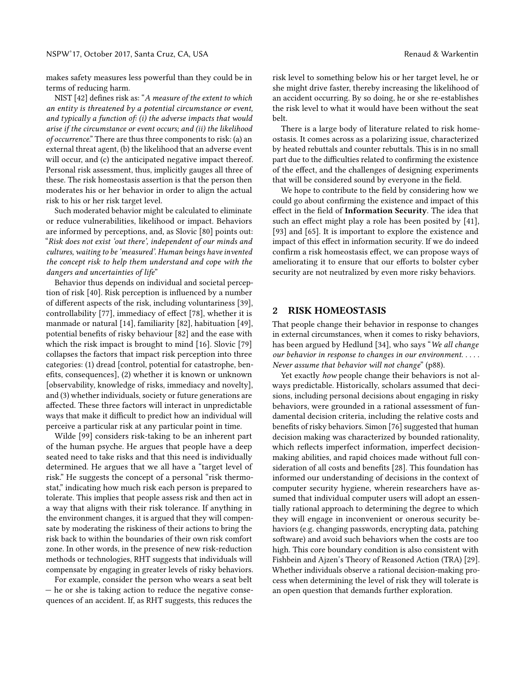makes safety measures less powerful than they could be in terms of reducing harm.

NIST [\[42\]](#page-11-2) defines risk as: "A measure of the extent to which *an entity is threatened by a potential circumstance or event, and typically a function of: (i) the adverse impacts that would arise if the circumstance or event occurs; and (ii) the likelihood of occurrence*." There are thus three components to risk: (a) an external threat agent, (b) the likelihood that an adverse event will occur, and (c) the anticipated negative impact thereof. Personal risk assessment, thus, implicitly gauges all three of these. The risk homeostasis assertion is that the person then moderates his or her behavior in order to align the actual risk to his or her risk target level.

Such moderated behavior might be calculated to eliminate or reduce vulnerabilities, likelihood or impact. Behaviors are informed by perceptions, and, as Slovic [\[80\]](#page-12-2) points out: "*Risk does not exist 'out there', independent of our minds and cultures, waiting to be 'measured'. Human beings have invented the concept risk to help them understand and cope with the dangers and uncertainties of life*"

Behavior thus depends on individual and societal percep-tion of risk [\[40\]](#page-11-3). Risk perception is influenced by a number of different aspects of the risk, including voluntariness [\[39\]](#page-11-4), controllability  $[77]$ , immediacy of effect  $[78]$ , whether it is manmade or natural [\[14\]](#page-10-2), familiarity [\[82\]](#page-12-5), habituation [\[49\]](#page-11-5), potential benefits of risky behaviour [\[82\]](#page-12-5) and the ease with which the risk impact is brought to mind [\[16\]](#page-10-3). Slovic [\[79\]](#page-12-6) collapses the factors that impact risk perception into three categories: (1) dread [control, potential for catastrophe, benefits, consequences], (2) whether it is known or unknown [observability, knowledge of risks, immediacy and novelty], and (3) whether individuals, society or future generations are affected. These three factors will interact in unpredictable ways that make it difficult to predict how an individual will perceive a particular risk at any particular point in time.

Wilde [\[99\]](#page-12-1) considers risk-taking to be an inherent part of the human psyche. He argues that people have a deep seated need to take risks and that this need is individually determined. He argues that we all have a "target level of risk." He suggests the concept of a personal "risk thermostat," indicating how much risk each person is prepared to tolerate. This implies that people assess risk and then act in a way that aligns with their risk tolerance. If anything in the environment changes, it is argued that they will compensate by moderating the riskiness of their actions to bring the risk back to within the boundaries of their own risk comfort zone. In other words, in the presence of new risk-reduction methods or technologies, RHT suggests that individuals will compensate by engaging in greater levels of risky behaviors.

For example, consider the person who wears a seat belt — he or she is taking action to reduce the negative consequences of an accident. If, as RHT suggests, this reduces the

risk level to something below his or her target level, he or she might drive faster, thereby increasing the likelihood of an accident occurring. By so doing, he or she re-establishes the risk level to what it would have been without the seat belt.

There is a large body of literature related to risk homeostasis. It comes across as a polarizing issue, characterized by heated rebuttals and counter rebuttals. This is in no small part due to the difficulties related to confirming the existence of the effect, and the challenges of designing experiments that will be considered sound by everyone in the field.

We hope to contribute to the field by considering how we could go about confirming the existence and impact of this effect in the field of Information Security. The idea that such an effect might play a role has been posited by [\[41\]](#page-11-6), [\[93\]](#page-12-7) and [\[65\]](#page-11-7). It is important to explore the existence and impact of this effect in information security. If we do indeed confirm a risk homeostasis effect, we can propose ways of ameliorating it to ensure that our efforts to bolster cyber security are not neutralized by even more risky behaviors.

# 2 RISK HOMEOSTASIS

That people change their behavior in response to changes in external circumstances, when it comes to risky behaviors, has been argued by Hedlund [\[34\]](#page-11-8), who says "*We all change our behavior in response to changes in our environment. . . . . Never assume that behavior will not change*" (p88).

Yet exactly *how* people change their behaviors is not always predictable. Historically, scholars assumed that decisions, including personal decisions about engaging in risky behaviors, were grounded in a rational assessment of fundamental decision criteria, including the relative costs and benefits of risky behaviors. Simon [\[76\]](#page-12-8) suggested that human decision making was characterized by bounded rationality, which reflects imperfect information, imperfect decisionmaking abilities, and rapid choices made without full con-sideration of all costs and benefits [\[28\]](#page-11-9). This foundation has informed our understanding of decisions in the context of computer security hygiene, wherein researchers have assumed that individual computer users will adopt an essentially rational approach to determining the degree to which they will engage in inconvenient or onerous security behaviors (e.g. changing passwords, encrypting data, patching software) and avoid such behaviors when the costs are too high. This core boundary condition is also consistent with Fishbein and Ajzen's Theory of Reasoned Action (TRA) [\[29\]](#page-11-10). Whether individuals observe a rational decision-making process when determining the level of risk they will tolerate is an open question that demands further exploration.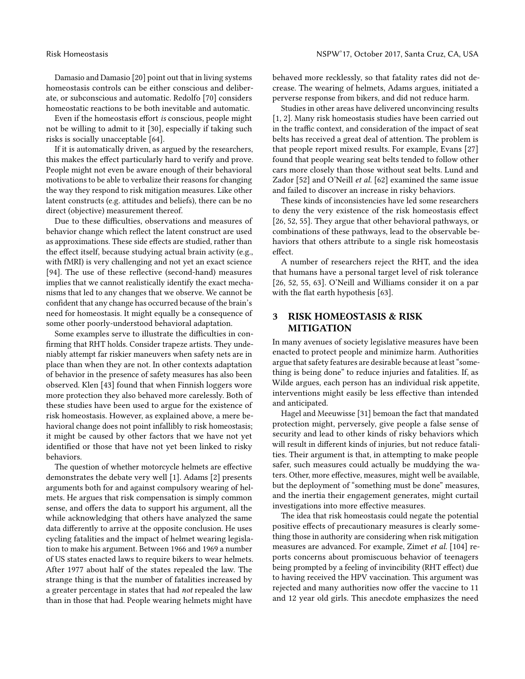Damasio and Damasio [\[20\]](#page-10-1) point out that in living systems homeostasis controls can be either conscious and deliberate, or subconscious and automatic. Redolfo [\[70\]](#page-11-0) considers homeostatic reactions to be both inevitable and automatic.

Even if the homeostasis effort *is* conscious, people might not be willing to admit to it [\[30\]](#page-11-11), especially if taking such risks is socially unacceptable [\[64\]](#page-11-12).

If it is automatically driven, as argued by the researchers, this makes the effect particularly hard to verify and prove. People might not even be aware enough of their behavioral motivations to be able to verbalize their reasons for changing the way they respond to risk mitigation measures. Like other latent constructs (e.g. attitudes and beliefs), there can be no direct (objective) measurement thereof.

Due to these difficulties, observations and measures of behavior change which reflect the latent construct are used as approximations. These side effects are studied, rather than the effect itself, because studying actual brain activity (e.g., with fMRI) is very challenging and not yet an exact science [\[94\]](#page-12-9). The use of these reflective (second-hand) measures implies that we cannot realistically identify the exact mechanisms that led to any changes that we observe. We cannot be confident that any change has occurred because of the brain's need for homeostasis. It might equally be a consequence of some other poorly-understood behavioral adaptation.

Some examples serve to illustrate the difficulties in confirming that RHT holds. Consider trapeze artists. They undeniably attempt far riskier maneuvers when safety nets are in place than when they are not. In other contexts adaptation of behavior in the presence of safety measures has also been observed. Klen [\[43\]](#page-11-13) found that when Finnish loggers wore more protection they also behaved more carelessly. Both of these studies have been used to argue for the existence of risk homeostasis. However, as explained above, a mere behavioral change does not point infallibly to risk homeostasis; it might be caused by other factors that we have not yet identified or those that have not yet been linked to risky behaviors.

The question of whether motorcycle helmets are effective demonstrates the debate very well [\[1\]](#page-10-4). Adams [\[2\]](#page-10-5) presents arguments both for and against compulsory wearing of helmets. He argues that risk compensation is simply common sense, and offers the data to support his argument, all the while acknowledging that others have analyzed the same data differently to arrive at the opposite conclusion. He uses cycling fatalities and the impact of helmet wearing legislation to make his argument. Between 1966 and 1969 a number of US states enacted laws to require bikers to wear helmets. After 1977 about half of the states repealed the law. The strange thing is that the number of fatalities increased by a greater percentage in states that had *not* repealed the law than in those that had. People wearing helmets might have

behaved more recklessly, so that fatality rates did not decrease. The wearing of helmets, Adams argues, initiated a perverse response from bikers, and did not reduce harm.

Studies in other areas have delivered unconvincing results [\[1,](#page-10-4) [2\]](#page-10-5). Many risk homeostasis studies have been carried out in the traffic context, and consideration of the impact of seat belts has received a great deal of attention. The problem is that people report mixed results. For example, Evans [\[27\]](#page-10-6) found that people wearing seat belts tended to follow other cars more closely than those without seat belts. Lund and Zador [\[52\]](#page-11-14) and O'Neill *et al.* [\[62\]](#page-11-15) examined the same issue and failed to discover an increase in risky behaviors.

These kinds of inconsistencies have led some researchers to deny the very existence of the risk homeostasis effect [\[26,](#page-10-7) [52,](#page-11-14) [55\]](#page-11-16). They argue that other behavioral pathways, or combinations of these pathways, lead to the observable behaviors that others attribute to a single risk homeostasis effect.

A number of researchers reject the RHT, and the idea that humans have a personal target level of risk tolerance [\[26,](#page-10-7) [52,](#page-11-14) [55,](#page-11-16) [63\]](#page-11-17). O'Neill and Williams consider it on a par with the flat earth hypothesis [\[63\]](#page-11-17).

# 3 RISK HOMEOSTASIS & RISK MITIGATION

In many avenues of society legislative measures have been enacted to protect people and minimize harm. Authorities argue that safety features are desirable because at least "something is being done" to reduce injuries and fatalities. If, as Wilde argues, each person has an individual risk appetite, interventions might easily be less effective than intended and anticipated.

Hagel and Meeuwisse [\[31\]](#page-11-18) bemoan the fact that mandated protection might, perversely, give people a false sense of security and lead to other kinds of risky behaviors which will result in different kinds of injuries, but not reduce fatalities. Their argument is that, in attempting to make people safer, such measures could actually be muddying the waters. Other, more effective, measures, might well be available, but the deployment of "something must be done" measures, and the inertia their engagement generates, might curtail investigations into more effective measures.

The idea that risk homeostasis could negate the potential positive effects of precautionary measures is clearly something those in authority are considering when risk mitigation measures are advanced. For example, Zimet *et al.* [\[104\]](#page-12-10) reports concerns about promiscuous behavior of teenagers being prompted by a feeling of invincibility (RHT effect) due to having received the HPV vaccination. This argument was rejected and many authorities now offer the vaccine to 11 and 12 year old girls. This anecdote emphasizes the need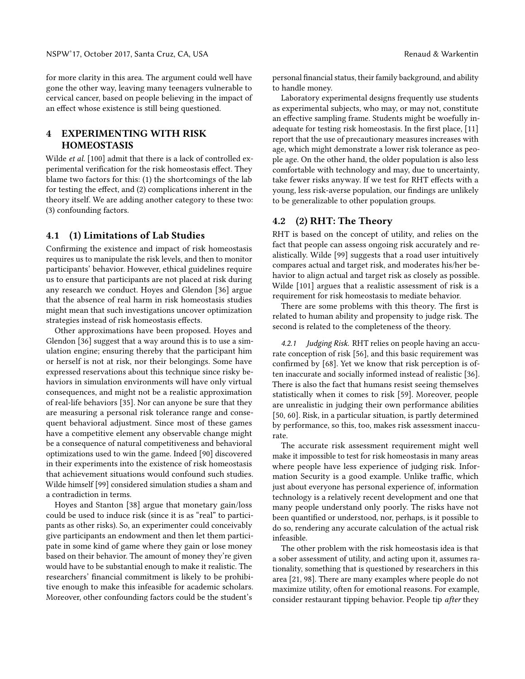for more clarity in this area. The argument could well have gone the other way, leaving many teenagers vulnerable to cervical cancer, based on people believing in the impact of an effect whose existence is still being questioned.

# 4 EXPERIMENTING WITH RISK HOMEOSTASIS

Wilde *et al.* [\[100\]](#page-12-11) admit that there is a lack of controlled experimental verification for the risk homeostasis effect. They blame two factors for this: (1) the shortcomings of the lab for testing the effect, and  $(2)$  complications inherent in the theory itself. We are adding another category to these two: (3) confounding factors.

# <span id="page-3-0"></span>4.1 (1) Limitations of Lab Studies

Confirming the existence and impact of risk homeostasis requires us to manipulate the risk levels, and then to monitor participants' behavior. However, ethical guidelines require us to ensure that participants are not placed at risk during any research we conduct. Hoyes and Glendon [\[36\]](#page-11-19) argue that the absence of real harm in risk homeostasis studies might mean that such investigations uncover optimization strategies instead of risk homeostasis effects.

Other approximations have been proposed. Hoyes and Glendon [\[36\]](#page-11-19) suggest that a way around this is to use a simulation engine; ensuring thereby that the participant him or herself is not at risk, nor their belongings. Some have expressed reservations about this technique since risky behaviors in simulation environments will have only virtual consequences, and might not be a realistic approximation of real-life behaviors [\[35\]](#page-11-20). Nor can anyone be sure that they are measuring a personal risk tolerance range and consequent behavioral adjustment. Since most of these games have a competitive element any observable change might be a consequence of natural competitiveness and behavioral optimizations used to win the game. Indeed [\[90\]](#page-12-12) discovered in their experiments into the existence of risk homeostasis that achievement situations would confound such studies. Wilde himself [\[99\]](#page-12-1) considered simulation studies a sham and a contradiction in terms.

Hoyes and Stanton [\[38\]](#page-11-21) argue that monetary gain/loss could be used to induce risk (since it is as "real" to participants as other risks). So, an experimenter could conceivably give participants an endowment and then let them participate in some kind of game where they gain or lose money based on their behavior. The amount of money they're given would have to be substantial enough to make it realistic. The researchers' financial commitment is likely to be prohibitive enough to make this infeasible for academic scholars. Moreover, other confounding factors could be the student's

personal financial status, their family background, and ability to handle money.

Laboratory experimental designs frequently use students as experimental subjects, who may, or may not, constitute an effective sampling frame. Students might be woefully in-adequate for testing risk homeostasis. In the first place, [\[11\]](#page-10-8) report that the use of precautionary measures increases with age, which might demonstrate a lower risk tolerance as people age. On the other hand, the older population is also less comfortable with technology and may, due to uncertainty, take fewer risks anyway. If we test for RHT effects with a young, less risk-averse population, our findings are unlikely to be generalizable to other population groups.

# 4.2 (2) RHT: The Theory

RHT is based on the concept of utility, and relies on the fact that people can assess ongoing risk accurately and realistically. Wilde [\[99\]](#page-12-1) suggests that a road user intuitively compares actual and target risk, and moderates his/her behavior to align actual and target risk as closely as possible. Wilde [\[101\]](#page-12-13) argues that a realistic assessment of risk is a requirement for risk homeostasis to mediate behavior.

There are some problems with this theory. The first is related to human ability and propensity to judge risk. The second is related to the completeness of the theory.

*4.2.1 Judging Risk.* RHT relies on people having an accurate conception of risk [\[56\]](#page-11-22), and this basic requirement was confirmed by [\[68\]](#page-11-23). Yet we know that risk perception is often inaccurate and socially informed instead of realistic [\[36\]](#page-11-19). There is also the fact that humans resist seeing themselves statistically when it comes to risk [\[59\]](#page-11-24). Moreover, people are unrealistic in judging their own performance abilities [\[50,](#page-11-25) [60\]](#page-11-26). Risk, in a particular situation, is partly determined by performance, so this, too, makes risk assessment inaccurate.

The accurate risk assessment requirement might well make it impossible to test for risk homeostasis in many areas where people have less experience of judging risk. Information Security is a good example. Unlike traffic, which just about everyone has personal experience of, information technology is a relatively recent development and one that many people understand only poorly. The risks have not been quantified or understood, nor, perhaps, is it possible to do so, rendering any accurate calculation of the actual risk infeasible.

The other problem with the risk homeostasis idea is that a sober assessment of utility, and acting upon it, assumes rationality, something that is questioned by researchers in this area [\[21,](#page-10-9) [98\]](#page-12-14). There are many examples where people do not maximize utility, often for emotional reasons. For example, consider restaurant tipping behavior. People tip *after* they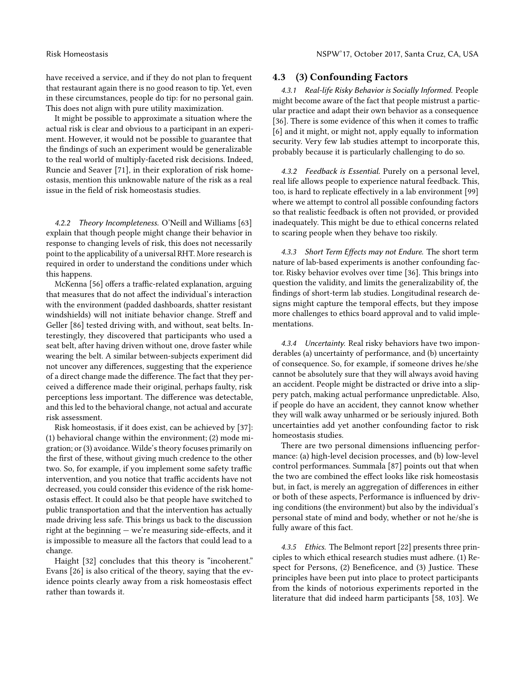have received a service, and if they do not plan to frequent that restaurant again there is no good reason to tip. Yet, even in these circumstances, people do tip: for no personal gain. This does not align with pure utility maximization.

It might be possible to approximate a situation where the actual risk is clear and obvious to a participant in an experiment. However, it would not be possible to guarantee that the findings of such an experiment would be generalizable to the real world of multiply-faceted risk decisions. Indeed, Runcie and Seaver [\[71\]](#page-12-15), in their exploration of risk homeostasis, mention this unknowable nature of the risk as a real issue in the field of risk homeostasis studies.

*4.2.2 Theory Incompleteness.* O'Neill and Williams [\[63\]](#page-11-17) explain that though people might change their behavior in response to changing levels of risk, this does not necessarily point to the applicability of a universal RHT. More research is required in order to understand the conditions under which this happens.

McKenna [\[56\]](#page-11-22) offers a traffic-related explanation, arguing that measures that do not affect the individual's interaction with the environment (padded dashboards, shatter resistant windshields) will not initiate behavior change. Streff and Geller [\[86\]](#page-12-16) tested driving with, and without, seat belts. Interestingly, they discovered that participants who used a seat belt, after having driven without one, drove faster while wearing the belt. A similar between-subjects experiment did not uncover any differences, suggesting that the experience of a direct change made the difference. The fact that they perceived a difference made their original, perhaps faulty, risk perceptions less important. The difference was detectable, and this led to the behavioral change, not actual and accurate risk assessment.

Risk homeostasis, if it does exist, can be achieved by [\[37\]](#page-11-27): (1) behavioral change within the environment; (2) mode migration; or (3) avoidance. Wilde's theory focuses primarily on the first of these, without giving much credence to the other two. So, for example, if you implement some safety traffic intervention, and you notice that traffic accidents have not decreased, you could consider this evidence of the risk homeostasis effect. It could also be that people have switched to public transportation and that the intervention has actually made driving less safe. This brings us back to the discussion right at the beginning  $-$  we're measuring side-effects, and it is impossible to measure all the factors that could lead to a change.

Haight [\[32\]](#page-11-28) concludes that this theory is "incoherent." Evans [\[26\]](#page-10-7) is also critical of the theory, saying that the evidence points clearly away from a risk homeostasis effect rather than towards it.

### 4.3 (3) Confounding Factors

*4.3.1 Real-life Risky Behavior is Socially Informed.* People might become aware of the fact that people mistrust a particular practice and adapt their own behavior as a consequence  $[36]$ . There is some evidence of this when it comes to traffic [\[6\]](#page-10-10) and it might, or might not, apply equally to information security. Very few lab studies attempt to incorporate this, probably because it is particularly challenging to do so.

*4.3.2 Feedback is Essential.* Purely on a personal level, real life allows people to experience natural feedback. This, too, is hard to replicate effectively in a lab environment [\[99\]](#page-12-1) where we attempt to control all possible confounding factors so that realistic feedback is often not provided, or provided inadequately. This might be due to ethical concerns related to scaring people when they behave too riskily.

*4.3.3 Short Term E*!*ects may not Endure.* The short term nature of lab-based experiments is another confounding factor. Risky behavior evolves over time [\[36\]](#page-11-19). This brings into question the validity, and limits the generalizability of, the findings of short-term lab studies. Longitudinal research designs might capture the temporal effects, but they impose more challenges to ethics board approval and to valid implementations.

*4.3.4 Uncertainty.* Real risky behaviors have two imponderables (a) uncertainty of performance, and (b) uncertainty of consequence. So, for example, if someone drives he/she cannot be absolutely sure that they will always avoid having an accident. People might be distracted or drive into a slippery patch, making actual performance unpredictable. Also, if people do have an accident, they cannot know whether they will walk away unharmed or be seriously injured. Both uncertainties add yet another confounding factor to risk homeostasis studies.

There are two personal dimensions influencing performance: (a) high-level decision processes, and (b) low-level control performances. Summala [\[87\]](#page-12-17) points out that when the two are combined the effect looks like risk homeostasis but, in fact, is merely an aggregation of differences in either or both of these aspects, Performance is influenced by driving conditions (the environment) but also by the individual's personal state of mind and body, whether or not he/she is fully aware of this fact.

<span id="page-4-0"></span>*4.3.5 Ethics.* The Belmont report [\[22\]](#page-10-11) presents three principles to which ethical research studies must adhere. (1) Respect for Persons, (2) Beneficence, and (3) Justice. These principles have been put into place to protect participants from the kinds of notorious experiments reported in the literature that did indeed harm participants [\[58,](#page-11-29) [103\]](#page-12-18). We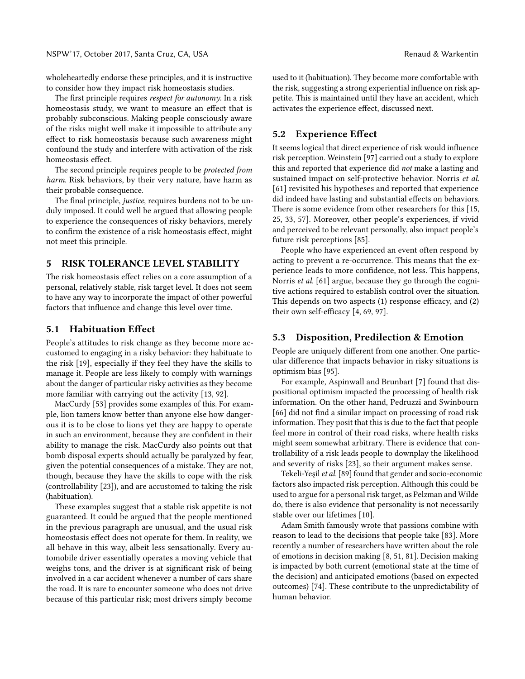wholeheartedly endorse these principles, and it is instructive to consider how they impact risk homeostasis studies.

The first principle requires *respect for autonomy*. In a risk homeostasis study, we want to measure an effect that is probably subconscious. Making people consciously aware of the risks might well make it impossible to attribute any effect to risk homeostasis because such awareness might confound the study and interfere with activation of the risk homeostasis effect.

The second principle requires people to be *protected from harm*. Risk behaviors, by their very nature, have harm as their probable consequence.

The final principle, *justice*, requires burdens not to be unduly imposed. It could well be argued that allowing people to experience the consequences of risky behaviors, merely to confirm the existence of a risk homeostasis effect, might not meet this principle.

# 5 RISK TOLERANCE LEVEL STABILITY

The risk homeostasis effect relies on a core assumption of a personal, relatively stable, risk target level. It does not seem to have any way to incorporate the impact of other powerful factors that influence and change this level over time.

#### 5.1 Habituation Effect

People's attitudes to risk change as they become more accustomed to engaging in a risky behavior: they habituate to the risk [\[19\]](#page-10-12), especially if they feel they have the skills to manage it. People are less likely to comply with warnings about the danger of particular risky activities as they become more familiar with carrying out the activity [\[13,](#page-10-13) [92\]](#page-12-19).

MacCurdy [\[53\]](#page-11-30) provides some examples of this. For example, lion tamers know better than anyone else how dangerous it is to be close to lions yet they are happy to operate in such an environment, because they are confident in their ability to manage the risk. MacCurdy also points out that bomb disposal experts should actually be paralyzed by fear, given the potential consequences of a mistake. They are not, though, because they have the skills to cope with the risk (controllability [\[23\]](#page-10-14)), and are accustomed to taking the risk (habituation).

These examples suggest that a stable risk appetite is not guaranteed. It could be argued that the people mentioned in the previous paragraph are unusual, and the usual risk homeostasis effect does not operate for them. In reality, we all behave in this way, albeit less sensationally. Every automobile driver essentially operates a moving vehicle that weighs tons, and the driver is at significant risk of being involved in a car accident whenever a number of cars share the road. It is rare to encounter someone who does not drive because of this particular risk; most drivers simply become

used to it (habituation). They become more comfortable with the risk, suggesting a strong experiential influence on risk appetite. This is maintained until they have an accident, which activates the experience effect, discussed next.

# 5.2 Experience Effect

It seems logical that direct experience of risk would influence risk perception. Weinstein [\[97\]](#page-12-20) carried out a study to explore this and reported that experience did *not* make a lasting and sustained impact on self-protective behavior. Norris *et al.* [\[61\]](#page-11-31) revisited his hypotheses and reported that experience did indeed have lasting and substantial effects on behaviors. There is some evidence from other researchers for this [\[15,](#page-10-15) [25,](#page-10-16) [33,](#page-11-32) [57\]](#page-11-33). Moreover, other people's experiences, if vivid and perceived to be relevant personally, also impact people's future risk perceptions [\[85\]](#page-12-21).

People who have experienced an event often respond by acting to prevent a re-occurrence. This means that the experience leads to more confidence, not less. This happens, Norris *et al.* [\[61\]](#page-11-31) argue, because they go through the cognitive actions required to establish control over the situation. This depends on two aspects  $(1)$  response efficacy, and  $(2)$ their own self-efficacy  $[4, 69, 97]$  $[4, 69, 97]$  $[4, 69, 97]$ .

#### 5.3 Disposition, Predilection & Emotion

People are uniquely different from one another. One particular difference that impacts behavior in risky situations is optimism bias [\[95\]](#page-12-22).

For example, Aspinwall and Brunbart [\[7\]](#page-10-18) found that dispositional optimism impacted the processing of health risk information. On the other hand, Pedruzzi and Swinbourn [\[66\]](#page-11-35) did not find a similar impact on processing of road risk information. They posit that this is due to the fact that people feel more in control of their road risks, where health risks might seem somewhat arbitrary. There is evidence that controllability of a risk leads people to downplay the likelihood and severity of risks [\[23\]](#page-10-14), so their argument makes sense.

Tekeli-Yeşil *et al.*[\[89\]](#page-12-23) found that gender and socio-economic factors also impacted risk perception. Although this could be used to argue for a personal risk target, as Pelzman and Wilde do, there is also evidence that personality is not necessarily stable over our lifetimes [\[10\]](#page-10-19).

Adam Smith famously wrote that passions combine with reason to lead to the decisions that people take [\[83\]](#page-12-24). More recently a number of researchers have written about the role of emotions in decision making [\[8,](#page-10-20) [51,](#page-11-36) [81\]](#page-12-25). Decision making is impacted by both current (emotional state at the time of the decision) and anticipated emotions (based on expected outcomes) [\[74\]](#page-12-26). These contribute to the unpredictability of human behavior.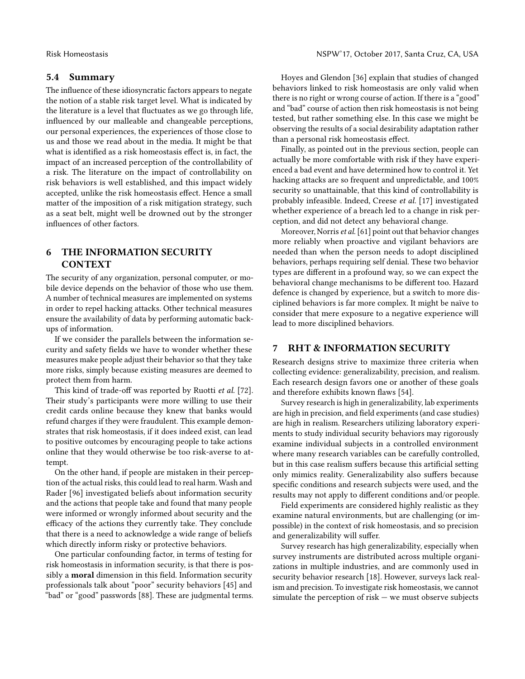# 5.4 Summary

The influence of these idiosyncratic factors appears to negate the notion of a stable risk target level. What is indicated by the literature is a level that fluctuates as we go through life, influenced by our malleable and changeable perceptions, our personal experiences, the experiences of those close to us and those we read about in the media. It might be that what is identified as a risk homeostasis effect is, in fact, the impact of an increased perception of the controllability of a risk. The literature on the impact of controllability on risk behaviors is well established, and this impact widely accepted, unlike the risk homeostasis effect. Hence a small matter of the imposition of a risk mitigation strategy, such as a seat belt, might well be drowned out by the stronger influences of other factors.

# 6 THE INFORMATION SECURITY CONTEXT

The security of any organization, personal computer, or mobile device depends on the behavior of those who use them. A number of technical measures are implemented on systems in order to repel hacking attacks. Other technical measures ensure the availability of data by performing automatic backups of information.

If we consider the parallels between the information security and safety fields we have to wonder whether these measures make people adjust their behavior so that they take more risks, simply because existing measures are deemed to protect them from harm.

This kind of trade-off was reported by Ruotti et al. [\[72\]](#page-12-27). Their study's participants were more willing to use their credit cards online because they knew that banks would refund charges if they were fraudulent. This example demonstrates that risk homeostasis, if it does indeed exist, can lead to positive outcomes by encouraging people to take actions online that they would otherwise be too risk-averse to attempt.

On the other hand, if people are mistaken in their perception of the actual risks, this could lead to real harm. Wash and Rader [\[96\]](#page-12-28) investigated beliefs about information security and the actions that people take and found that many people were informed or wrongly informed about security and the efficacy of the actions they currently take. They conclude that there is a need to acknowledge a wide range of beliefs which directly inform risky or protective behaviors.

One particular confounding factor, in terms of testing for risk homeostasis in information security, is that there is possibly a moral dimension in this field. Information security professionals talk about "poor" security behaviors [\[45\]](#page-11-37) and "bad" or "good" passwords [\[88\]](#page-12-29). These are judgmental terms.

Hoyes and Glendon [\[36\]](#page-11-19) explain that studies of changed behaviors linked to risk homeostasis are only valid when there is no right or wrong course of action. If there is a "good" and "bad" course of action then risk homeostasis is not being tested, but rather something else. In this case we might be observing the results of a social desirability adaptation rather than a personal risk homeostasis effect.

Finally, as pointed out in the previous section, people can actually be more comfortable with risk if they have experienced a bad event and have determined how to control it. Yet hacking attacks are so frequent and unpredictable, and 100% security so unattainable, that this kind of controllability is probably infeasible. Indeed, Creese *et al.* [\[17\]](#page-10-21) investigated whether experience of a breach led to a change in risk perception, and did not detect any behavioral change.

Moreover, Norris *et al.*[\[61\]](#page-11-31) point out that behavior changes more reliably when proactive and vigilant behaviors are needed than when the person needs to adopt disciplined behaviors, perhaps requiring self denial. These two behavior types are different in a profound way, so we can expect the behavioral change mechanisms to be different too. Hazard defence is changed by experience, but a switch to more disciplined behaviors is far more complex. It might be naïve to consider that mere exposure to a negative experience will lead to more disciplined behaviors.

### 7 RHT & INFORMATION SECURITY

Research designs strive to maximize three criteria when collecting evidence: generalizability, precision, and realism. Each research design favors one or another of these goals and therefore exhibits known flaws [\[54\]](#page-11-38).

Survey research is high in generalizability, lab experiments are high in precision, and field experiments (and case studies) are high in realism. Researchers utilizing laboratory experiments to study individual security behaviors may rigorously examine individual subjects in a controlled environment where many research variables can be carefully controlled, but in this case realism suffers because this artificial setting only mimics reality. Generalizability also suffers because specific conditions and research subjects were used, and the results may not apply to different conditions and/or people.

Field experiments are considered highly realistic as they examine natural environments, but are challenging (or impossible) in the context of risk homeostasis, and so precision and generalizability will suffer.

Survey research has high generalizability, especially when survey instruments are distributed across multiple organizations in multiple industries, and are commonly used in security behavior research [\[18\]](#page-10-22). However, surveys lack realism and precision. To investigate risk homeostasis, we cannot simulate the perception of risk — we must observe subjects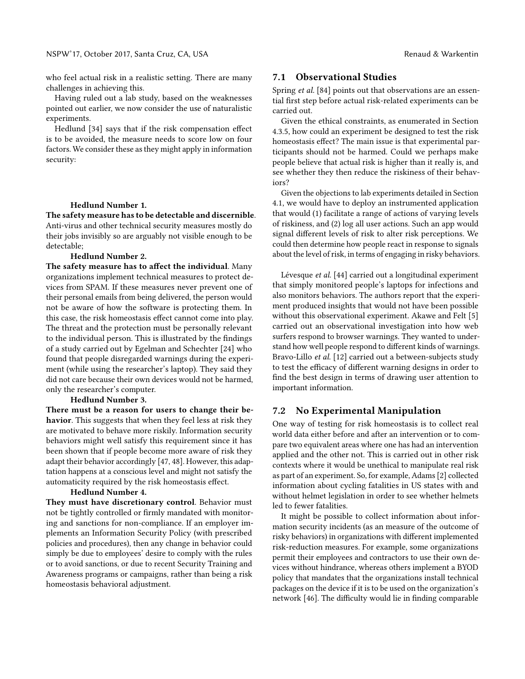who feel actual risk in a realistic setting. There are many challenges in achieving this.

Having ruled out a lab study, based on the weaknesses pointed out earlier, we now consider the use of naturalistic experiments.

Hedlund  $[34]$  says that if the risk compensation effect is to be avoided, the measure needs to score low on four factors. We consider these as they might apply in information security:

#### Hedlund Number 1.

The safety measure has to be detectable and discernible. Anti-virus and other technical security measures mostly do their jobs invisibly so are arguably not visible enough to be detectable;

#### Hedlund Number 2.

The safety measure has to affect the individual. Many organizations implement technical measures to protect devices from SPAM. If these measures never prevent one of their personal emails from being delivered, the person would not be aware of how the software is protecting them. In this case, the risk homeostasis effect cannot come into play. The threat and the protection must be personally relevant to the individual person. This is illustrated by the findings of a study carried out by Egelman and Schechter [\[24\]](#page-10-23) who found that people disregarded warnings during the experiment (while using the researcher's laptop). They said they did not care because their own devices would not be harmed, only the researcher's computer.

#### Hedlund Number 3.

There must be a reason for users to change their behavior. This suggests that when they feel less at risk they are motivated to behave more riskily. Information security behaviors might well satisfy this requirement since it has been shown that if people become more aware of risk they adapt their behavior accordingly [\[47,](#page-11-39) [48\]](#page-11-40). However, this adaptation happens at a conscious level and might not satisfy the automaticity required by the risk homeostasis effect.

#### Hedlund Number 4.

They must have discretionary control. Behavior must not be tightly controlled or firmly mandated with monitoring and sanctions for non-compliance. If an employer implements an Information Security Policy (with prescribed policies and procedures), then any change in behavior could simply be due to employees' desire to comply with the rules or to avoid sanctions, or due to recent Security Training and Awareness programs or campaigns, rather than being a risk homeostasis behavioral adjustment.

#### 7.1 Observational Studies

Spring *et al.* [\[84\]](#page-12-30) points out that observations are an essential first step before actual risk-related experiments can be carried out.

Given the ethical constraints, as enumerated in Section [4.3.5,](#page-4-0) how could an experiment be designed to test the risk homeostasis effect? The main issue is that experimental participants should not be harmed. Could we perhaps make people believe that actual risk is higher than it really is, and see whether they then reduce the riskiness of their behaviors?

Given the objections to lab experiments detailed in Section [4.1,](#page-3-0) we would have to deploy an instrumented application that would (1) facilitate a range of actions of varying levels of riskiness, and (2) log all user actions. Such an app would signal different levels of risk to alter risk perceptions. We could then determine how people react in response to signals about the level of risk, in terms of engaging in risky behaviors.

Lévesque *et al.* [\[44\]](#page-11-41) carried out a longitudinal experiment that simply monitored people's laptops for infections and also monitors behaviors. The authors report that the experiment produced insights that would not have been possible without this observational experiment. Akawe and Felt [\[5\]](#page-10-24) carried out an observational investigation into how web surfers respond to browser warnings. They wanted to understand how well people respond to different kinds of warnings. Bravo-Lillo *et al.* [\[12\]](#page-10-25) carried out a between-subjects study to test the efficacy of different warning designs in order to find the best design in terms of drawing user attention to important information.

#### 7.2 No Experimental Manipulation

One way of testing for risk homeostasis is to collect real world data either before and after an intervention or to compare two equivalent areas where one has had an intervention applied and the other not. This is carried out in other risk contexts where it would be unethical to manipulate real risk as part of an experiment. So, for example, Adams [\[2\]](#page-10-5) collected information about cycling fatalities in US states with and without helmet legislation in order to see whether helmets led to fewer fatalities.

It might be possible to collect information about information security incidents (as an measure of the outcome of risky behaviors) in organizations with different implemented risk-reduction measures. For example, some organizations permit their employees and contractors to use their own devices without hindrance, whereas others implement a BYOD policy that mandates that the organizations install technical packages on the device if it is to be used on the organization's network [\[46\]](#page-11-42). The difficulty would lie in finding comparable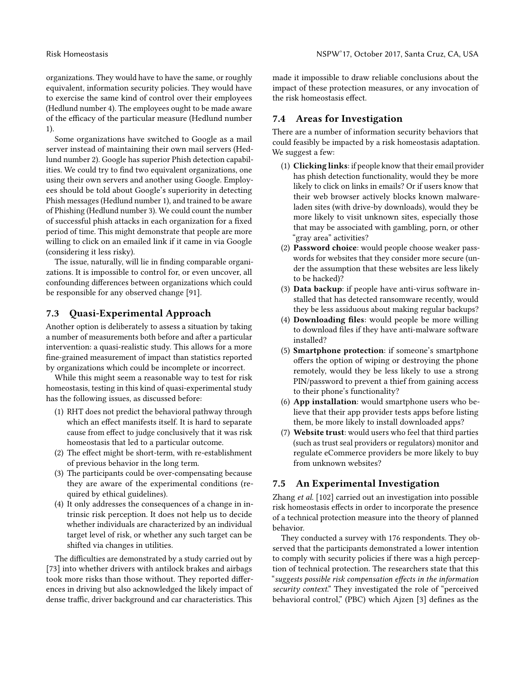organizations. They would have to have the same, or roughly equivalent, information security policies. They would have to exercise the same kind of control over their employees (Hedlund number 4). The employees ought to be made aware of the efficacy of the particular measure (Hedlund number 1).

Some organizations have switched to Google as a mail server instead of maintaining their own mail servers (Hedlund number 2). Google has superior Phish detection capabilities. We could try to find two equivalent organizations, one using their own servers and another using Google. Employees should be told about Google's superiority in detecting Phish messages (Hedlund number 1), and trained to be aware of Phishing (Hedlund number 3). We could count the number of successful phish attacks in each organization for a fixed period of time. This might demonstrate that people are more willing to click on an emailed link if it came in via Google (considering it less risky).

The issue, naturally, will lie in finding comparable organizations. It is impossible to control for, or even uncover, all confounding differences between organizations which could be responsible for any observed change [\[91\]](#page-12-31).

# 7.3 Quasi-Experimental Approach

Another option is deliberately to assess a situation by taking a number of measurements both before and after a particular intervention: a quasi-realistic study. This allows for a more fine-grained measurement of impact than statistics reported by organizations which could be incomplete or incorrect.

While this might seem a reasonable way to test for risk homeostasis, testing in this kind of quasi-experimental study has the following issues, as discussed before:

- (1) RHT does not predict the behavioral pathway through which an effect manifests itself. It is hard to separate cause from effect to judge conclusively that it was risk homeostasis that led to a particular outcome.
- (2) The effect might be short-term, with re-establishment of previous behavior in the long term.
- (3) The participants could be over-compensating because they are aware of the experimental conditions (required by ethical guidelines).
- (4) It only addresses the consequences of a change in intrinsic risk perception. It does not help us to decide whether individuals are characterized by an individual target level of risk, or whether any such target can be shifted via changes in utilities.

The difficulties are demonstrated by a study carried out by [\[73\]](#page-12-32) into whether drivers with antilock brakes and airbags took more risks than those without. They reported differences in driving but also acknowledged the likely impact of dense traffic, driver background and car characteristics. This

made it impossible to draw reliable conclusions about the impact of these protection measures, or any invocation of the risk homeostasis effect.

# 7.4 Areas for Investigation

There are a number of information security behaviors that could feasibly be impacted by a risk homeostasis adaptation. We suggest a few:

- (1) Clicking links: if people know that their email provider has phish detection functionality, would they be more likely to click on links in emails? Or if users know that their web browser actively blocks known malwareladen sites (with drive-by downloads), would they be more likely to visit unknown sites, especially those that may be associated with gambling, porn, or other "gray area" activities?
- (2) Password choice: would people choose weaker passwords for websites that they consider more secure (under the assumption that these websites are less likely to be hacked)?
- (3) Data backup: if people have anti-virus software installed that has detected ransomware recently, would they be less assiduous about making regular backups?
- (4) Downloading files: would people be more willing to download files if they have anti-malware software installed?
- (5) Smartphone protection: if someone's smartphone offers the option of wiping or destroying the phone remotely, would they be less likely to use a strong PIN/password to prevent a thief from gaining access to their phone's functionality?
- (6) App installation: would smartphone users who believe that their app provider tests apps before listing them, be more likely to install downloaded apps?
- (7) Website trust: would users who feel that third parties (such as trust seal providers or regulators) monitor and regulate eCommerce providers be more likely to buy from unknown websites?

# 7.5 An Experimental Investigation

Zhang *et al.* [\[102\]](#page-12-33) carried out an investigation into possible risk homeostasis effects in order to incorporate the presence of a technical protection measure into the theory of planned behavior.

They conducted a survey with 176 respondents. They observed that the participants demonstrated a lower intention to comply with security policies if there was a high perception of technical protection. The researchers state that this "*suggests possible risk compensation e*!*ects in the information security context*." They investigated the role of "perceived behavioral control," (PBC) which Ajzen [\[3\]](#page-10-26) defines as the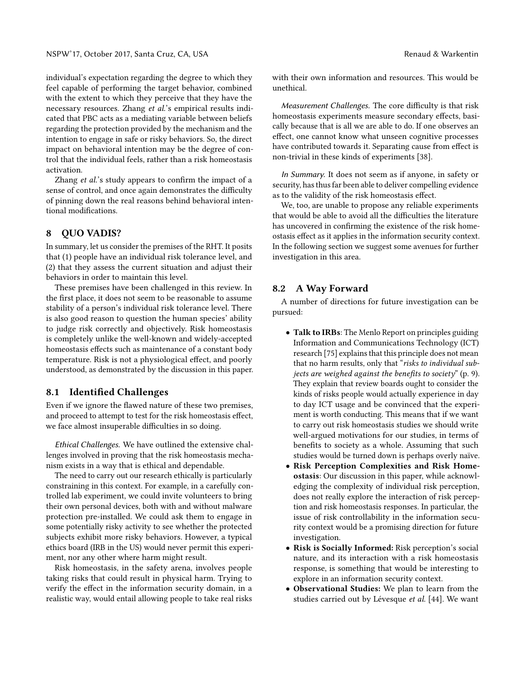individual's expectation regarding the degree to which they feel capable of performing the target behavior, combined with the extent to which they perceive that they have the necessary resources. Zhang *et al.*'s empirical results indicated that PBC acts as a mediating variable between beliefs regarding the protection provided by the mechanism and the intention to engage in safe or risky behaviors. So, the direct impact on behavioral intention may be the degree of control that the individual feels, rather than a risk homeostasis activation.

Zhang *et al.*'s study appears to confirm the impact of a sense of control, and once again demonstrates the difficulty of pinning down the real reasons behind behavioral intentional modifications.

# 8 QUO VADIS?

In summary, let us consider the premises of the RHT. It posits that (1) people have an individual risk tolerance level, and (2) that they assess the current situation and adjust their behaviors in order to maintain this level.

These premises have been challenged in this review. In the first place, it does not seem to be reasonable to assume stability of a person's individual risk tolerance level. There is also good reason to question the human species' ability to judge risk correctly and objectively. Risk homeostasis is completely unlike the well-known and widely-accepted homeostasis effects such as maintenance of a constant body temperature. Risk is not a physiological effect, and poorly understood, as demonstrated by the discussion in this paper.

# 8.1 Identified Challenges

Even if we ignore the flawed nature of these two premises, and proceed to attempt to test for the risk homeostasis effect, we face almost insuperable difficulties in so doing.

*Ethical Challenges.* We have outlined the extensive challenges involved in proving that the risk homeostasis mechanism exists in a way that is ethical and dependable.

The need to carry out our research ethically is particularly constraining in this context. For example, in a carefully controlled lab experiment, we could invite volunteers to bring their own personal devices, both with and without malware protection pre-installed. We could ask them to engage in some potentially risky activity to see whether the protected subjects exhibit more risky behaviors. However, a typical ethics board (IRB in the US) would never permit this experiment, nor any other where harm might result.

Risk homeostasis, in the safety arena, involves people taking risks that could result in physical harm. Trying to verify the effect in the information security domain, in a realistic way, would entail allowing people to take real risks with their own information and resources. This would be unethical.

*Measurement Challenges.* The core difficulty is that risk homeostasis experiments measure secondary effects, basically because that is all we are able to do. If one observes an effect, one cannot know what unseen cognitive processes have contributed towards it. Separating cause from effect is non-trivial in these kinds of experiments [\[38\]](#page-11-21).

*In Summary.* It does not seem as if anyone, in safety or security, has thus far been able to deliver compelling evidence as to the validity of the risk homeostasis effect.

We, too, are unable to propose any reliable experiments that would be able to avoid all the difficulties the literature has uncovered in confirming the existence of the risk homeostasis effect as it applies in the information security context. In the following section we suggest some avenues for further investigation in this area.

#### 8.2 A Way Forward

A number of directions for future investigation can be pursued:

- Talk to IRBs: The Menlo Report on principles guiding Information and Communications Technology (ICT) research [\[75\]](#page-12-34) explains that this principle does not mean that no harm results, only that "*risks to individual subjects are weighed against the benefits to society*" (p. 9). They explain that review boards ought to consider the kinds of risks people would actually experience in day to day ICT usage and be convinced that the experiment is worth conducting. This means that if we want to carry out risk homeostasis studies we should write well-argued motivations for our studies, in terms of benefits to society as a whole. Assuming that such studies would be turned down is perhaps overly naïve.
- Risk Perception Complexities and Risk Homeostasis: Our discussion in this paper, while acknowledging the complexity of individual risk perception, does not really explore the interaction of risk perception and risk homeostasis responses. In particular, the issue of risk controllability in the information security context would be a promising direction for future investigation.
- Risk is Socially Informed: Risk perception's social nature, and its interaction with a risk homeostasis response, is something that would be interesting to explore in an information security context.
- Observational Studies: We plan to learn from the studies carried out by Lévesque *et al.* [\[44\]](#page-11-41). We want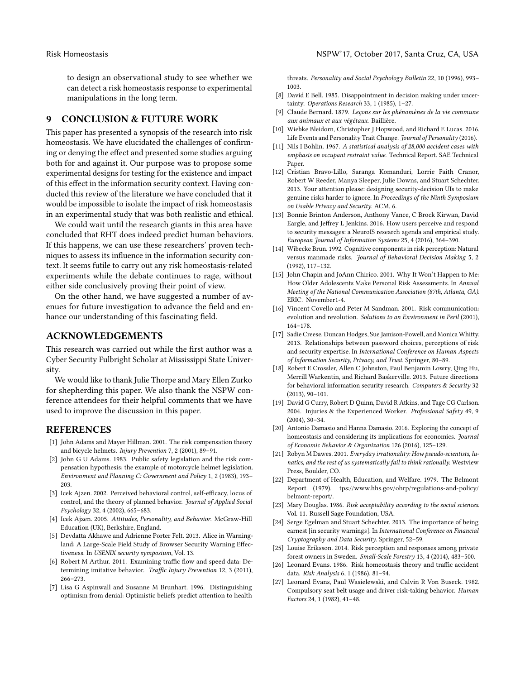to design an observational study to see whether we can detect a risk homeostasis response to experimental manipulations in the long term.

# 9 CONCLUSION & FUTURE WORK

This paper has presented a synopsis of the research into risk homeostasis. We have elucidated the challenges of confirming or denying the effect and presented some studies arguing both for and against it. Our purpose was to propose some experimental designs for testing for the existence and impact of this effect in the information security context. Having conducted this review of the literature we have concluded that it would be impossible to isolate the impact of risk homeostasis in an experimental study that was both realistic and ethical.

We could wait until the research giants in this area have concluded that RHT does indeed predict human behaviors. If this happens, we can use these researchers' proven techniques to assess its influence in the information security context. It seems futile to carry out any risk homeostasis-related experiments while the debate continues to rage, without either side conclusively proving their point of view.

On the other hand, we have suggested a number of avenues for future investigation to advance the field and enhance our understanding of this fascinating field.

# ACKNOWLEDGEMENTS

This research was carried out while the first author was a Cyber Security Fulbright Scholar at Mississippi State University.

We would like to thank Julie Thorpe and Mary Ellen Zurko for shepherding this paper. We also thank the NSPW conference attendees for their helpful comments that we have used to improve the discussion in this paper.

#### REFERENCES

- <span id="page-10-4"></span>[1] John Adams and Mayer Hillman. 2001. The risk compensation theory and bicycle helmets. *Injury Prevention* 7, 2 (2001), 89–91.
- <span id="page-10-5"></span>[2] John G U Adams. 1983. Public safety legislation and the risk compensation hypothesis: the example of motorcycle helmet legislation. *Environment and Planning C: Government and Policy* 1, 2 (1983), 193– 203.
- <span id="page-10-26"></span>[3] Icek Ajzen. 2002. Perceived behavioral control, self-efficacy, locus of control, and the theory of planned behavior. *Journal of Applied Social Psychology* 32, 4 (2002), 665–683.
- <span id="page-10-17"></span>[4] Icek Ajzen. 2005. *Attitudes, Personality, and Behavior*. McGraw-Hill Education (UK), Berkshire, England.
- <span id="page-10-24"></span>[5] Devdatta Akhawe and Adrienne Porter Felt. 2013. Alice in Warningland: A Large-Scale Field Study of Browser Security Warning Effectiveness. In *USENIX security symposium*, Vol. 13.
- <span id="page-10-10"></span>[6] Robert M Arthur. 2011. Examining traffic flow and speed data: Determining imitative behavior. *Traffic Injury Prevention* 12, 3 (2011), 266–273.
- <span id="page-10-18"></span>[7] Lisa G Aspinwall and Susanne M Brunhart. 1996. Distinguishing optimism from denial: Optimistic beliefs predict attention to health

threats. *Personality and Social Psychology Bulletin* 22, 10 (1996), 993– 1003.

- <span id="page-10-20"></span>[8] David E Bell. 1985. Disappointment in decision making under uncertainty. *Operations Research* 33, 1 (1985), 1–27.
- <span id="page-10-0"></span>[9] Claude Bernard. 1879. *Leçons sur les phénomènes de la vie commune aux animaux et aux végétaux*. Baillière.
- <span id="page-10-19"></span>[10] Wiebke Bleidorn, Christopher J Hopwood, and Richard E Lucas. 2016. Life Events and Personality Trait Change. *Journal of Personality* (2016).
- <span id="page-10-8"></span>[11] Nils I Bohlin. 1967. *A statistical analysis of 28,000 accident cases with emphasis on occupant restraint value*. Technical Report. SAE Technical Paper.
- <span id="page-10-25"></span>[12] Cristian Bravo-Lillo, Saranga Komanduri, Lorrie Faith Cranor, Robert W Reeder, Manya Sleeper, Julie Downs, and Stuart Schechter. 2013. Your attention please: designing security-decision UIs to make genuine risks harder to ignore. In *Proceedings of the Ninth Symposium on Usable Privacy and Security*. ACM, 6.
- <span id="page-10-13"></span>[13] Bonnie Brinton Anderson, Anthony Vance, C Brock Kirwan, David Eargle, and Jeffrey L Jenkins. 2016. How users perceive and respond to security messages: a NeuroIS research agenda and empirical study. *European Journal of Information Systems* 25, 4 (2016), 364–390.
- <span id="page-10-2"></span>[14] Wibecke Brun. 1992. Cognitive components in risk perception: Natural versus manmade risks. *Journal of Behavioral Decision Making* 5, 2 (1992), 117–132.
- <span id="page-10-15"></span>[15] John Chapin and JoAnn Chirico. 2001. Why It Won't Happen to Me: How Older Adolescents Make Personal Risk Assessments. In *Annual Meeting of the National Communication Association (87th, Atlanta, GA)*. ERIC. November1-4.
- <span id="page-10-3"></span>[16] Vincent Covello and Peter M Sandman. 2001. Risk communication: evolution and revolution. *Solutions to an Environment in Peril* (2001), 164–178.
- <span id="page-10-21"></span>[17] Sadie Creese, Duncan Hodges, Sue Jamison-Powell, and Monica Whitty. 2013. Relationships between password choices, perceptions of risk and security expertise. In *International Conference on Human Aspects of Information Security, Privacy, and Trust*. Springer, 80–89.
- <span id="page-10-22"></span>[18] Robert E Crossler, Allen C Johnston, Paul Benjamin Lowry, Qing Hu, Merrill Warkentin, and Richard Baskerville. 2013. Future directions for behavioral information security research. *Computers & Security* 32 (2013), 90–101.
- <span id="page-10-12"></span>[19] David G Curry, Robert D Quinn, David R Atkins, and Tage CG Carlson. 2004. Injuries & the Experienced Worker. *Professional Safety* 49, 9 (2004), 30–34.
- <span id="page-10-1"></span>[20] Antonio Damasio and Hanna Damasio. 2016. Exploring the concept of homeostasis and considering its implications for economics. *Journal of Economic Behavior & Organization* 126 (2016), 125–129.
- <span id="page-10-9"></span>[21] Robyn M Dawes. 2001. *Everyday irrationality: How pseudo-scientists, lunatics, and the rest of us systematically fail to think rationally.* Westview Press, Boulder, CO.
- <span id="page-10-11"></span>[22] Department of Health, Education, and Welfare. 1979. The Belmont Report. (1979). [tps://www.hhs.gov/ohrp/regulations-and-policy/](tps://www.hhs.gov/ohrp/regulations-and-policy/belmont-report/) [belmont-report/.](tps://www.hhs.gov/ohrp/regulations-and-policy/belmont-report/)
- <span id="page-10-14"></span>[23] Mary Douglas. 1986. *Risk acceptability according to the social sciences*. Vol. 11. Russell Sage Foundation, USA.
- <span id="page-10-23"></span>[24] Serge Egelman and Stuart Schechter. 2013. The importance of being earnest [in security warnings]. In *International Conference on Financial Cryptography and Data Security*. Springer, 52–59.
- <span id="page-10-16"></span>[25] Louise Eriksson. 2014. Risk perception and responses among private forest owners in Sweden. *Small-Scale Forestry* 13, 4 (2014), 483–500.
- <span id="page-10-7"></span>[26] Leonard Evans. 1986. Risk homeostasis theory and traffic accident data. *Risk Analysis* 6, 1 (1986), 81–94.
- <span id="page-10-6"></span>[27] Leonard Evans, Paul Wasielewski, and Calvin R Von Buseck. 1982. Compulsory seat belt usage and driver risk-taking behavior. *Human Factors* 24, 1 (1982), 41–48.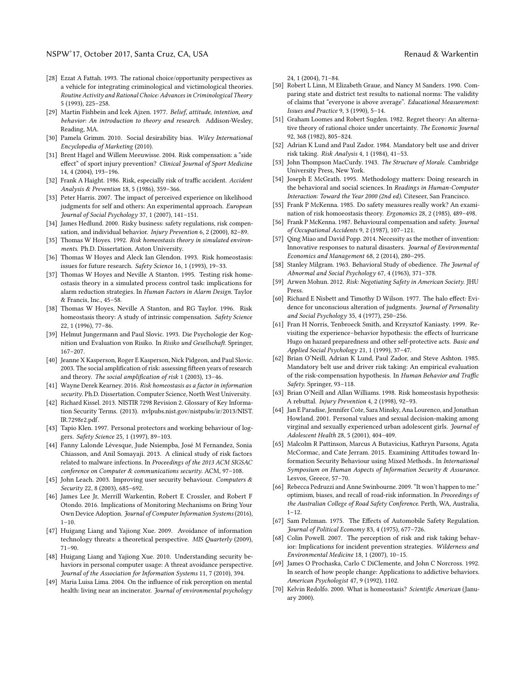- <span id="page-11-9"></span>[28] Ezzat A Fattah. 1993. The rational choice/opportunity perspectives as a vehicle for integrating criminological and victimological theories. *Routine Activity and Rational Choice: Advances in Criminological Theory* 5 (1993), 225–258.
- <span id="page-11-10"></span>[29] Martin Fishbein and Icek Ajzen. 1977. *Belief, attitude, intention, and behavior: An introduction to theory and research*. Addison-Wesley, Reading, MA.
- <span id="page-11-11"></span>[30] Pamela Grimm. 2010. Social desirability bias. *Wiley International Encyclopedia of Marketing* (2010).
- <span id="page-11-18"></span>[31] Brent Hagel and Willem Meeuwisse. 2004. Risk compensation: a "side effect" of sport injury prevention? *Clinical Journal of Sport Medicine* 14, 4 (2004), 193–196.
- <span id="page-11-28"></span>[32] Frank A Haight. 1986. Risk, especially risk of traffic accident. *Accident Analysis & Prevention* 18, 5 (1986), 359–366.
- <span id="page-11-32"></span>[33] Peter Harris. 2007. The impact of perceived experience on likelihood judgments for self and others: An experimental approach. *European Journal of Social Psychology* 37, 1 (2007), 141–151.
- <span id="page-11-8"></span>[34] James Hedlund. 2000. Risky business: safety regulations, risk compensation, and individual behavior. *Injury Prevention* 6, 2 (2000), 82–89.
- <span id="page-11-20"></span>[35] Thomas W Hoyes. 1992. *Risk homeostasis theory in simulated environments*. Ph.D. Dissertation. Aston University.
- <span id="page-11-19"></span>[36] Thomas W Hoyes and Aleck Ian Glendon. 1993. Risk homeostasis: issues for future research. *Safety Science* 16, 1 (1993), 19–33.
- <span id="page-11-27"></span>[37] Thomas W Hoyes and Neville A Stanton. 1995. Testing risk homeostasis theory in a simulated process control task: implications for alarm reduction strategies. In *Human Factors in Alarm Design*. Taylor & Francis, Inc., 45–58.
- <span id="page-11-21"></span>[38] Thomas W Hoyes, Neville A Stanton, and RG Taylor. 1996. Risk homeostasis theory: A study of intrinsic compensation. *Safety Science* 22, 1 (1996), 77–86.
- <span id="page-11-4"></span>[39] Helmut Jungermann and Paul Slovic. 1993. Die Psychologie der Kognition und Evaluation von Risiko. In *Risiko und Gesellschaft*. Springer, 167–207.
- <span id="page-11-3"></span>[40] Jeanne X Kasperson, Roger E Kasperson, Nick Pidgeon, and Paul Slovic. 2003. The social amplification of risk: assessing fifteen years of research and theory. *The social amplification of risk* 1 (2003), 13-46.
- <span id="page-11-6"></span>[41] Wayne Derek Kearney. 2016. *Risk homeostasis as a factor in information security*. Ph.D. Dissertation. Computer Science, North West University.
- <span id="page-11-2"></span>[42] Richard Kissel. 2013. NISTIR 7298 Revision 2. Glossary of Key Information Security Terms. (2013). [nvlpubs.nist.gov/nistpubs/ir/2013/NIST.](nvlpubs.nist.gov/nistpubs/ir/2013/NIST.IR.7298r2.pdf) [IR.7298r2.pdf.](nvlpubs.nist.gov/nistpubs/ir/2013/NIST.IR.7298r2.pdf)
- <span id="page-11-13"></span>[43] Tapio Klen. 1997. Personal protectors and working behaviour of loggers. *Safety Science* 25, 1 (1997), 89–103.
- <span id="page-11-41"></span>[44] Fanny Lalonde Lévesque, Jude Nsiempba, José M Fernandez, Sonia Chiasson, and Anil Somayaji. 2013. A clinical study of risk factors related to malware infections. In *Proceedings of the 2013 ACM SIGSAC conference on Computer & communications security*. ACM, 97–108.
- <span id="page-11-37"></span>[45] John Leach. 2003. Improving user security behaviour. *Computers & Security* 22, 8 (2003), 685–692.
- <span id="page-11-42"></span>[46] James Lee Jr, Merrill Warkentin, Robert E Crossler, and Robert F Otondo. 2016. Implications of Monitoring Mechanisms on Bring Your Own Device Adoption. *Journal of Computer Information Systems* (2016),  $1 - 10$ .
- <span id="page-11-39"></span>[47] Huigang Liang and Yajiong Xue. 2009. Avoidance of information technology threats: a theoretical perspective. *MIS Quarterly* (2009), 71–90.
- <span id="page-11-40"></span>[48] Huigang Liang and Yajiong Xue. 2010. Understanding security behaviors in personal computer usage: A threat avoidance perspective. *Journal of the Association for Information Systems* 11, 7 (2010), 394.
- <span id="page-11-5"></span>[49] Maria Luisa Lima. 2004. On the influence of risk perception on mental health: living near an incinerator. *Journal of environmental psychology*

24, 1 (2004), 71–84.

- <span id="page-11-25"></span>[50] Robert L Linn, M Elizabeth Graue, and Nancy M Sanders. 1990. Comparing state and district test results to national norms: The validity of claims that "everyone is above average". *Educational Measurement: Issues and Practice* 9, 3 (1990), 5–14.
- <span id="page-11-36"></span>[51] Graham Loomes and Robert Sugden. 1982. Regret theory: An alternative theory of rational choice under uncertainty. *The Economic Journal* 92, 368 (1982), 805–824.
- <span id="page-11-14"></span>[52] Adrian K Lund and Paul Zador. 1984. Mandatory belt use and driver risk taking. *Risk Analysis* 4, 1 (1984), 41–53.
- <span id="page-11-30"></span>[53] John Thompson MacCurdy. 1943. *The Structure of Morale*. Cambridge University Press, New York.
- <span id="page-11-38"></span>[54] Joseph E McGrath. 1995. Methodology matters: Doing research in the behavioral and social sciences. In *Readings in Human-Computer Interaction: Toward the Year 2000 (2nd ed)*. Citeseer, San Francisco.
- <span id="page-11-16"></span>[55] Frank P McKenna. 1985. Do safety measures really work? An examination of risk homoeostasis theory. *Ergonomics* 28, 2 (1985), 489–498.
- <span id="page-11-22"></span>[56] Frank P McKenna. 1987. Behavioural compensation and safety. *Journal of Occupational Accidents* 9, 2 (1987), 107–121.
- <span id="page-11-33"></span>[57] Qing Miao and David Popp. 2014. Necessity as the mother of invention: Innovative responses to natural disasters. *Journal of Environmental Economics and Management* 68, 2 (2014), 280–295.
- <span id="page-11-29"></span>[58] Stanley Milgram. 1963. Behavioral Study of obedience. *The Journal of Abnormal and Social Psychology* 67, 4 (1963), 371–378.
- <span id="page-11-24"></span>[59] Arwen Mohun. 2012. *Risk: Negotiating Safety in American Society*. JHU Press.
- <span id="page-11-26"></span>[60] Richard E Nisbett and Timothy D Wilson. 1977. The halo effect: Evidence for unconscious alteration of judgments. *Journal of Personality and Social Psychology* 35, 4 (1977), 250–256.
- <span id="page-11-31"></span>[61] Fran H Norris, Tenbroeck Smith, and Krzysztof Kaniasty. 1999. Revisiting the experience–behavior hypothesis: the effects of hurricane Hugo on hazard preparedness and other self-protective acts. *Basic and Applied Social Psychology* 21, 1 (1999), 37–47.
- <span id="page-11-15"></span>[62] Brian O'Neill, Adrian K Lund, Paul Zador, and Steve Ashton. 1985. Mandatory belt use and driver risk taking: An empirical evaluation of the risk-compensation hypothesis. In *Human Behavior and Traffic Safety*. Springer, 93–118.
- <span id="page-11-17"></span>[63] Brian O'Neill and Allan Williams. 1998. Risk homeostasis hypothesis: A rebuttal. *Injury Prevention* 4, 2 (1998), 92–93.
- <span id="page-11-12"></span>[64] Jan E Paradise, Jennifer Cote, Sara Minsky, Ana Lourenco, and Jonathan Howland. 2001. Personal values and sexual decision-making among virginal and sexually experienced urban adolescent girls. *Journal of Adolescent Health* 28, 5 (2001), 404–409.
- <span id="page-11-7"></span>[65] Malcolm R Pattinson, Marcus A Butavicius, Kathryn Parsons, Agata McCormac, and Cate Jerram. 2015. Examining Attitudes toward Information Security Behaviour using Mixed Methods.. In *International Symposium on Human Aspects of Information Security & Assurance*. Lesvos, Greece, 57–70.
- <span id="page-11-35"></span>[66] Rebecca Pedruzzi and Anne Swinbourne. 2009. "It won't happen to me:" optimism, biases, and recall of road-risk information. In *Proceedings of the Australian College of Road Safety Conference*. Perth, WA, Australia,  $1 - 12$ .
- <span id="page-11-1"></span>[67] Sam Pelzman. 1975. The Effects of Automobile Safety Regulation. *Journal of Political Economy* 83, 4 (1975), 677–726.
- <span id="page-11-23"></span>[68] Colin Powell. 2007. The perception of risk and risk taking behavior: Implications for incident prevention strategies. *Wilderness and Environmental Medicine* 18, 1 (2007), 10–15.
- <span id="page-11-34"></span>[69] James O Prochaska, Carlo C DiClemente, and John C Norcross. 1992. In search of how people change: Applications to addictive behaviors. *American Psychologist* 47, 9 (1992), 1102.
- <span id="page-11-0"></span>[70] Kelvin Redolfo. 2000. What is homeostasis? *Scientific American* (January 2000).